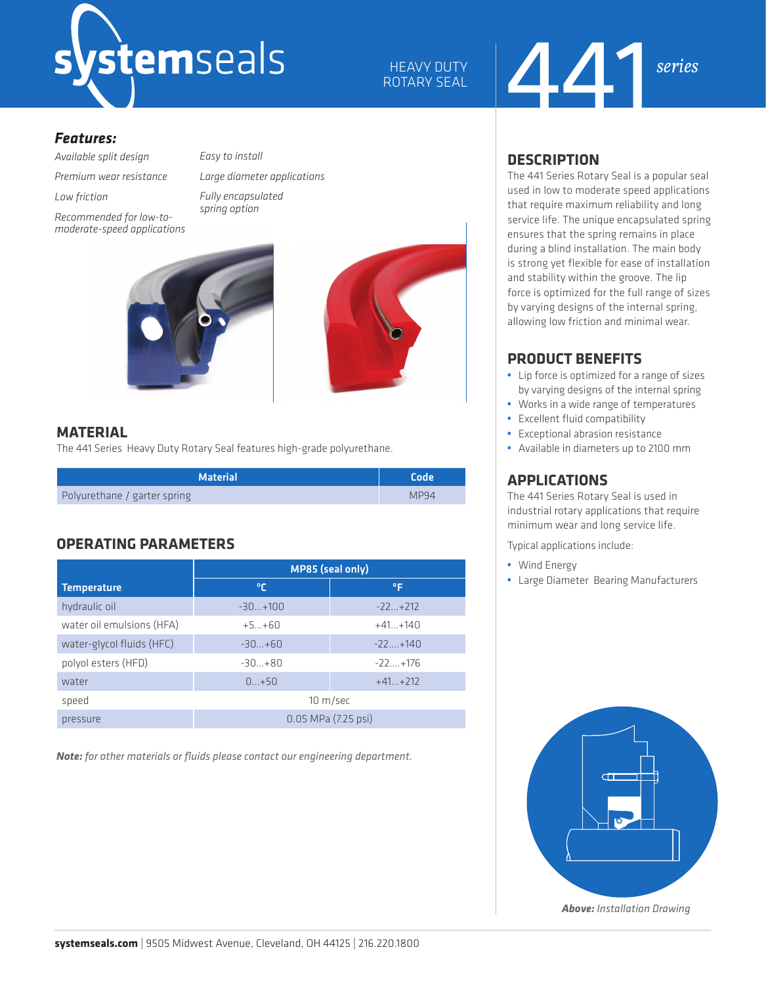

HEAVY DUTY ROTARY SEAL

# 441 *series*

#### *Features:*

*Available split design*

*Premium wear resistance*

*Low friction* 

*Recommended for low-tomoderate-speed applications* *Large diameter applications Fully encapsulated spring option*

*Easy to install* 



#### **MATERIAL**

The 441 Series Heavy Duty Rotary Seal features high-grade polyurethane.

| <b>Material</b>              | <b>Code</b> |
|------------------------------|-------------|
| Polyurethane / garter spring | MP94        |

# **OPERATING PARAMETERS**

|                           | <b>MP85 (seal only)</b> |             |  |  |  |
|---------------------------|-------------------------|-------------|--|--|--|
| <b>Temperature</b>        | ℃                       | ۰F          |  |  |  |
| hydraulic oil             | $-30+100$               | $-22+212$   |  |  |  |
| water oil emulsions (HFA) | $+5+60$                 | $+41 +140$  |  |  |  |
| water-glycol fluids (HFC) | $-30+60$                | $-22+140$   |  |  |  |
| polyol esters (HFD)       | $-30+80$                | $-22 + 176$ |  |  |  |
| water                     | $0+50$                  | $+41+212$   |  |  |  |
| speed                     | 10 m/sec                |             |  |  |  |
| pressure                  | 0.05 MPa (7.25 psi)     |             |  |  |  |

*Note: for other materials or fluids please contact our engineering department.*

# **DESCRIPTION**

The 441 Series Rotary Seal is a popular seal used in low to moderate speed applications that require maximum reliability and long service life. The unique encapsulated spring ensures that the spring remains in place during a blind installation. The main body is strong yet flexible for ease of installation and stability within the groove. The lip force is optimized for the full range of sizes by varying designs of the internal spring, allowing low friction and minimal wear.

# **PRODUCT BENEFITS**

- **•** Lip force is optimized for a range of sizes by varying designs of the internal spring
- **•** Works in a wide range of temperatures
- **•** Excellent fluid compatibility
- **•** Exceptional abrasion resistance
- **•** Available in diameters up to 2100 mm

# **APPLICATIONS**

The 441 Series Rotary Seal is used in industrial rotary applications that require minimum wear and long service life.

Typical applications include:

- **•** Wind Energy
- **•** Large Diameter Bearing Manufacturers



*Above: Installation Drawing*